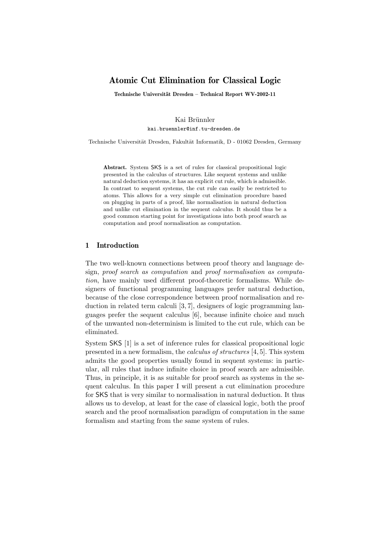# **Atomic Cut Elimination for Classical Logic**

Technische Universität Dresden – Technical Report WV-2002-11

Kai Brünnler

kai.bruennler@inf.tu-dresden.de

Technische Universität Dresden, Fakultät Informatik, D - 01062 Dresden, Germany

**Abstract.** System SKS is a set of rules for classical propositional logic presented in the calculus of structures. Like sequent systems and unlike natural deduction systems, it has an explicit cut rule, which is admissible. In contrast to sequent systems, the cut rule can easily be restricted to atoms. This allows for a very simple cut elimination procedure based on plugging in parts of a proof, like normalisation in natural deduction and unlike cut elimination in the sequent calculus. It should thus be a good common starting point for investigations into both proof search as computation and proof normalisation as computation.

# **1 Introduction**

The two well-known connections between proof theory and language design, *proof search as computation* and *proof normalisation as computation*, have mainly used different proof-theoretic formalisms. While designers of functional programming languages prefer natural deduction, because of the close correspondence between proof normalisation and reduction in related term calculi [3, 7], designers of logic programming languages prefer the sequent calculus [6], because infinite choice and much of the unwanted non-determinism is limited to the cut rule, which can be eliminated.

System SKS [1] is a set of inference rules for classical propositional logic presented in a new formalism, the *calculus of structures* [4, 5]. This system admits the good properties usually found in sequent systems: in particular, all rules that induce infinite choice in proof search are admissible. Thus, in principle, it is as suitable for proof search as systems in the sequent calculus. In this paper I will present a cut elimination procedure for SKS that is very similar to normalisation in natural deduction. It thus allows us to develop, at least for the case of classical logic, both the proof search and the proof normalisation paradigm of computation in the same formalism and starting from the same system of rules.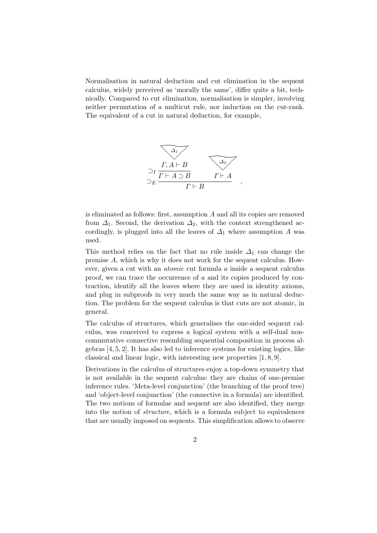Normalisation in natural deduction and cut elimination in the sequent calculus, widely perceived as 'morally the same', differ quite a bit, technically. Compared to cut elimination, normalisation is simpler, involving neither permutation of a multicut rule, nor induction on the cut-rank. The equivalent of a cut in natural deduction, for example,



is eliminated as follows: first, assumption A and all its copies are removed from  $\Delta_1$ . Second, the derivation  $\Delta_2$ , with the context strengthened accordingly, is plugged into all the leaves of  $\Delta_1$  where assumption A was used.

This method relies on the fact that no rule inside  $\Delta_1$  can change the premise A, which is why it does not work for the sequent calculus. However, given a cut with an *atomic* cut formula a inside a sequent calculus proof, we can trace the occurrence of  $a$  and its copies produced by contraction, identify all the leaves where they are used in identity axioms, and plug in subproofs in very much the same way as in natural deduction. The problem for the sequent calculus is that cuts are not atomic, in general.

The calculus of structures, which generalises the one-sided sequent calculus, was conceived to express a logical system with a self-dual noncommutative connective resembling sequential composition in process algebras [4, 5, 2]. It has also led to inference systems for existing logics, like classical and linear logic, with interesting new properties [1, 8, 9].

Derivations in the calculus of structures enjoy a top-down symmetry that is not available in the sequent calculus: they are chains of one-premise inference rules. 'Meta-level conjunction' (the branching of the proof tree) and 'object-level conjunction' (the connective in a formula) are identified. The two notions of formulae and sequent are also identified, they merge into the notion of *structure*, which is a formula subject to equivalences that are usually imposed on sequents. This simplification allows to observe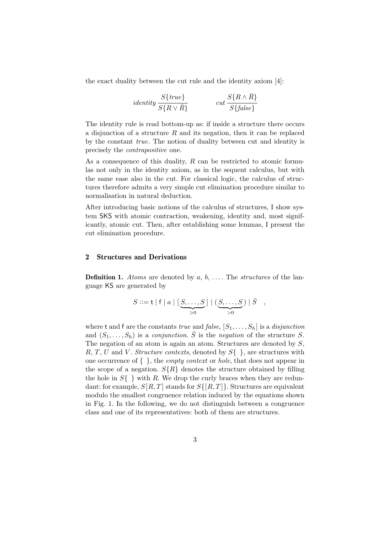the exact duality between the cut rule and the identity axiom [4]:

$$
identity \frac{S\{true\}}{S\{R \vee \bar{R}\}} \qquad \qquad cut \frac{S\{R \wedge \bar{R}\}}{S\{false\}}
$$

The identity rule is read bottom-up as: if inside a structure there occurs a disjunction of a structure  $R$  and its negation, then it can be replaced by the constant *true*. The notion of duality between cut and identity is precisely the *contrapositive* one.

As a consequence of this duality,  $R$  can be restricted to atomic formulas not only in the identity axiom, as in the sequent calculus, but with the same ease also in the cut. For classical logic, the calculus of structures therefore admits a very simple cut elimination procedure similar to normalisation in natural deduction.

After introducing basic notions of the calculus of structures, I show system SKS with atomic contraction, weakening, identity and, most significantly, atomic cut. Then, after establishing some lemmas, I present the cut elimination procedure.

### **2 Structures and Derivations**

**Definition 1.** *Atoms* are denoted by a, b, .... The *structures* of the language KS are generated by

$$
S ::= \mathsf{t} \mid \mathsf{f} \mid a \mid \left[\underbrace{S, \ldots, S}_{>0}\right] \mid (\underbrace{S, \ldots, S}_{>0}) \mid \overline{S} ,
$$

where **t** and **f** are the constants *true* and *false*,  $[S_1, \ldots, S_h]$  is a *disjunction* and  $(S_1, \ldots, S_h)$  is a *conjunction*.  $\overline{S}$  is the *negation* of the structure S. The negation of an atom is again an atom. Structures are denoted by  $S$ , R, T, U and V. *Structure contexts*, denoted by  $S\{\}$ , are structures with one occurrence of { }, the *empty context* or *hole*, that does not appear in the scope of a negation.  $S\{R\}$  denotes the structure obtained by filling the hole in  $S\{\}\$  with R. We drop the curly braces when they are redundant: for example,  $S[R, T]$  stands for  $S\{[R, T]\}$ . Structures are equivalent modulo the smallest congruence relation induced by the equations shown in Fig. 1. In the following, we do not distinguish between a congruence class and one of its representatives: both of them are structures.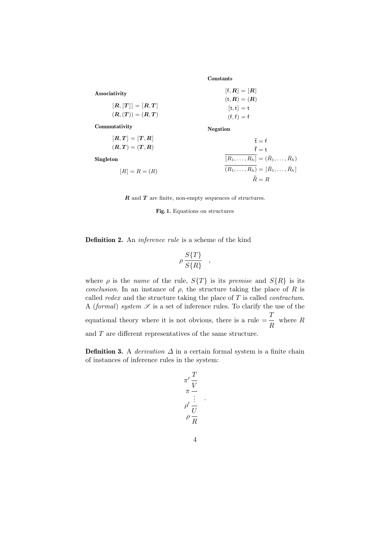**Constants**

**Negation**

| Associativity       | $[f,R]=[R]$    |
|---------------------|----------------|
|                     | $(t, R) = (R)$ |
| $[R, [T]] = [R, T]$ | $[t, t] = t$   |
| $(R,(T)) = (R,T)$   | $(f, f) = f$   |

**Commutativity**

 $[R, T] = [T, R]$  $(R, T) = (T, R)$ 

 $[R] = R = (R)$ 

**Singleton**

$$
\overline{\mathbf{t}} = \mathbf{f}
$$
\n
$$
\overline{\mathbf{f}} = \mathbf{t}
$$
\n
$$
\overline{[R_1, \ldots, R_h]} = (\overline{R}_1, \ldots, \overline{R}_h)
$$
\n
$$
\overline{(R_1, \ldots, R_h)} = [\overline{R}_1, \ldots, \overline{R}_h]
$$
\n
$$
\overline{\overline{R}} = R
$$

*R* and *T* are finite, non-empty sequences of structures.

**Fig. 1.** Equations on structures

**Definition 2.** An *inference rule* is a scheme of the kind

$$
\rho \frac{S\{T\}}{S\{R\}} \quad ,
$$

where  $\rho$  is the *name* of the rule,  $S\{T\}$  is its *premise* and  $S\{R\}$  is its *conclusion*. In an instance of  $\rho$ , the structure taking the place of R is called *redex* and the structure taking the place of T is called *contractum*. A *(formal) system*  $S$  is a set of inference rules. To clarify the use of the equational theory where it is not obvious, there is a rule  $=\frac{T}{R}$ where  $R$ and T are different representatives of the same structure.

**Definition 3.** A *derivation*  $\Delta$  in a certain formal system is a finite chain of instances of inference rules in the system:

$$
\pi' \frac{T}{V} \frac{V}{\vdots}
$$

$$
\rho' \frac{U}{U} \rho \frac{V}{R}
$$

.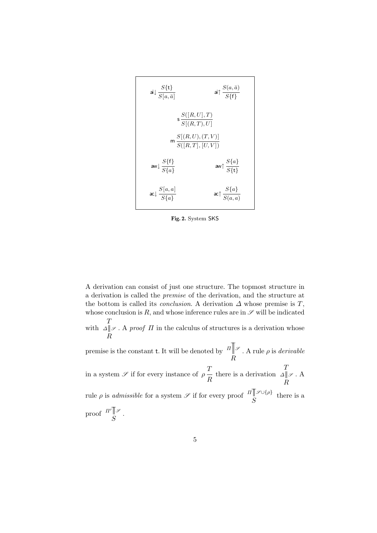

**Fig. 2.** System SKS

A derivation can consist of just one structure. The topmost structure in a derivation is called the *premise* of the derivation, and the structure at the bottom is called its *conclusion*. A derivation  $\Delta$  whose premise is  $T$ , whose conclusion is  $R$ , and whose inference rules are in  $\mathscr S$  will be indicated

with T R  $\Delta \parallel \mathscr{S}$ . A *proof*  $\Pi$  in the calculus of structures is a derivation whose

premise is the constant t. It will be denoted by R  $\mathbf{u}$  $\mathbb{E} \left\| \mathscr{S} \right\|$ . A rule  $\rho$  is *derivable* in a system *S* if for every instance of  $\mathcal I$  $\rho \frac{\ }{R}$  there is a derivation  $\mathcal I$ R ∆ *<sup>S</sup>* . A  $\pi \mathbb{Z}$   $\mathcal{S} \cup \{\rho\}$  there is a

rule  $\rho$  is *admissible* for a system  $\mathscr S$  if for every proof  $\frac{1}{S}$  $\begin{smallmatrix} \text{proof} & H' \mathop{\llcorner} \mathbb{I} \ S \end{smallmatrix}$  $\prod_{\alpha} \mathcal{F}$ .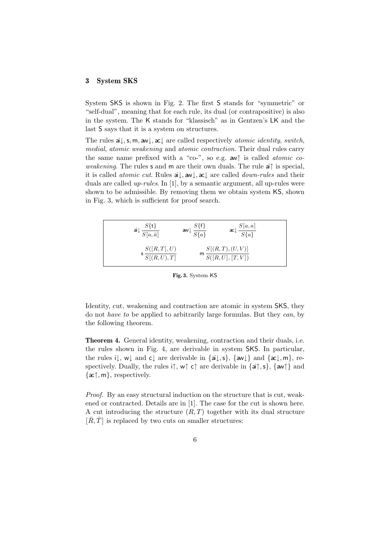#### **3 System SKS**

System SKS is shown in Fig. 2. The first S stands for "symmetric" or "self-dual", meaning that for each rule, its dual (or contrapositive) is also in the system. The K stands for "klassisch" as in Gentzen's LK and the last S says that it is a system on structures.

The rules ai↓,s, m, aw↓, ac↓ are called respectively *atomic identity*, *switch*, *medial*, *atomic weakening* and *atomic contraction*. Their dual rules carry the same name prefixed with a "co-", so e.g. aw↑ is called *atomic coweakening*. The rules s and m are their own duals. The rule ai↑ is special, it is called *atomic cut*. Rules ai↓, aw↓, ac↓ are called *down-rules* and their duals are called *up-rules*. In [1], by a semantic argument, all up-rules were shown to be admissible. By removing them we obtain system KS, shown in Fig. 3, which is sufficient for proof search.



**Fig. 3.** System KS

Identity, cut, weakening and contraction are atomic in system SKS, they do not *have to* be applied to arbitrarily large formulas. But they *can*, by the following theorem.

**Theorem 4.** General identity, weakening, contraction and their duals, i.e. the rules shown in Fig. 4, are derivable in system SKS. In particular, the rules i $\downarrow$ , w $\downarrow$  and c $\downarrow$  are derivable in {ai $\downarrow$ , s}, {aw $\downarrow$ } and {ac $\downarrow$ , m}, respectively. Dually, the rules i $\uparrow$ , w $\uparrow$  c $\uparrow$  are derivable in {ai $\uparrow$ , s}, {aw $\uparrow$ } and  $\{\alpha \uparrow, m\},$  respectively.

*Proof.* By an easy structural induction on the structure that is cut, weakened or contracted. Details are in [1]. The case for the cut is shown here. A cut introducing the structure  $(R, T)$  together with its dual structure  $[\bar{R}, \bar{T}]$  is replaced by two cuts on smaller structures: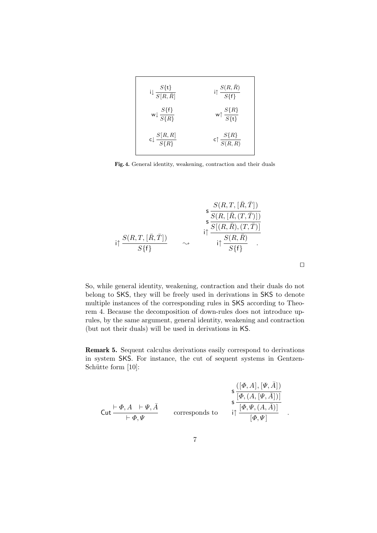| $i\downarrow \frac{S\{\mathsf{t}\}}{S[R,\bar{R}]}$ | $i\uparrow \frac{S(R,R)}{S\{\uparrow\}}$    |
|----------------------------------------------------|---------------------------------------------|
| $w \downarrow \frac{S\{\dagger\}}{S\{R\}}$         | w $\uparrow \frac{S\{R\}}{S\{\mathbf{t}\}}$ |
| $c \downarrow \frac{S[R,R]}{S\{R\}}$               | $c \uparrow \frac{S\{R\}}{S(R,R)}$          |

**Fig. 4.** General identity, weakening, contraction and their duals

$$
\begin{array}{ccc}\n & \text{s} & \frac{S(R, T, [\bar{R}, \bar{T}])}{S(R, [\bar{R}, (T, \bar{T})])} \\
 & \text{s} & \frac{S(R, [\bar{R}, (T, \bar{T})])}{S[(R, \bar{R}), (T, \bar{T})]} \\
 & \uparrow & \frac{S(R, \bar{R})}{S\{\mathsf{f}\}}\n\end{array}
$$

So, while general identity, weakening, contraction and their duals do not belong to SKS, they will be freely used in derivations in SKS to denote multiple instances of the corresponding rules in SKS according to Theorem 4. Because the decomposition of down-rules does not introduce uprules, by the same argument, general identity, weakening and contraction (but not their duals) will be used in derivations in KS.

 $\Box$ 

**Remark 5.** Sequent calculus derivations easily correspond to derivations in system SKS. For instance, the cut of sequent systems in Gentzen-Schütte form  $[10]$ :

$$
\text{Cut} \frac{\vdash \varPhi, A \quad \vdash \Psi, \bar{A}}{\vdash \varPhi, \Psi} \qquad \text{corresponds to} \qquad \begin{array}{c} \mathsf{s} \frac{([\varPhi, A], [\Psi, \bar{A}])}{[\varPhi, (A, [\Psi, \bar{A}])]} \\ \mathsf{s} \frac{[\varPhi, (A, [\Psi, \bar{A}])]}{[\varPhi, \Psi]} \\ \text{for } \varPhi \end{array}.
$$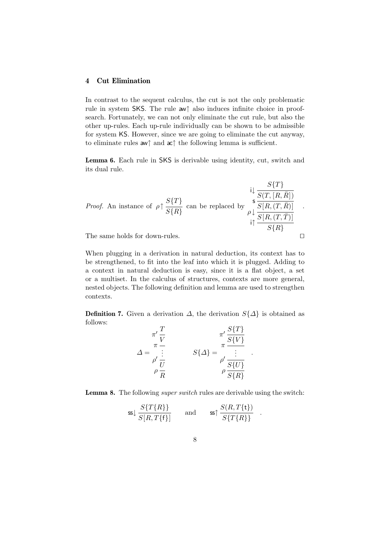# **4 Cut Elimination**

In contrast to the sequent calculus, the cut is not the only problematic rule in system SKS. The rule aw↑ also induces infinite choice in proofsearch. Fortunately, we can not only eliminate the cut rule, but also the other up-rules. Each up-rule individually can be shown to be admissible for system KS. However, since we are going to eliminate the cut anyway, to eliminate rules aw↑ and ac↑ the following lemma is sufficient.

**Lemma 6.** Each rule in SKS is derivable using identity, cut, switch and its dual rule.

*Proof.* An instance of 
$$
\rho \uparrow \frac{S\{T\}}{S\{R\}}
$$
 can be replaced by  $\rho \downarrow \frac{S\{T\}}{S[R,(T,\bar{R})]}$   
\n $\rho \downarrow \frac{S[R,(T,\bar{R})]}{S[R,(T,\bar{T})]}$   
\n $\uparrow \uparrow \frac{S[R,(T,\bar{T})]}{S\{R\}}$   
\nThe same holds for down-rules.

When plugging in a derivation in natural deduction, its context has to be strengthened, to fit into the leaf into which it is plugged. Adding to a context in natural deduction is easy, since it is a flat object, a set or a multiset. In the calculus of structures, contexts are more general, nested objects. The following definition and lemma are used to strengthen contexts.

**Definition 7.** Given a derivation  $\Delta$ , the derivation  $S\{\Delta\}$  is obtained as follows:  $\overline{a}$  $\sigma$ (m)

$$
\Delta = \frac{\pi'}{\pi} \frac{1}{V}
$$
\n
$$
\Delta = \frac{\pi'}{\rho'} \frac{1}{U}
$$
\n
$$
\Delta = \frac{\pi'}{\rho'} \frac{1}{V}
$$
\n
$$
\Delta = \frac{\pi}{\rho'} \frac{1}{S\{V\}} = \frac{\pi'}{\rho'} \frac{1}{S\{V\}} = \frac{\pi'}{\rho'} \frac{1}{S\{V\}}
$$

.

**Lemma 8.** The following *super switch* rules are derivable using the switch:

$$
\text{ss}\downarrow \frac{S\{T\{R\}\}}{S[R,T\{f\}]}\qquad \text{and} \qquad \text{ss}\uparrow \frac{S(R,T\{t\})}{S\{T\{R\}\}}\quad.
$$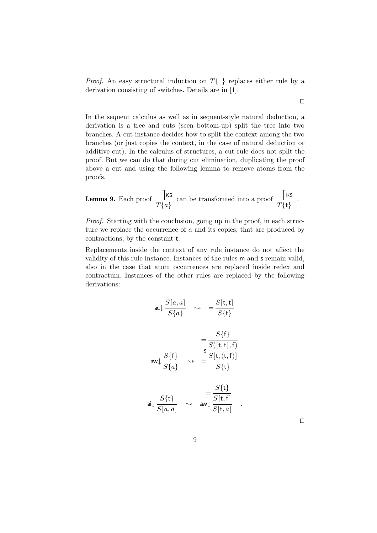*Proof.* An easy structural induction on  $T\{\}$  replaces either rule by a derivation consisting of switches. Details are in [1].

In the sequent calculus as well as in sequent-style natural deduction, a derivation is a tree and cuts (seen bottom-up) split the tree into two branches. A cut instance decides how to split the context among the two branches (or just copies the context, in the case of natural deduction or additive cut). In the calculus of structures, a cut rule does not split the proof. But we can do that during cut elimination, duplicating the proof above a cut and using the following lemma to remove atoms from the proofs.

**Lemma 9.** Each proof 
$$
\prod_{T\{a\}}
$$
 can be transformed into a proof  $\prod_{T\{t\}}$ .

*Proof.* Starting with the conclusion, going up in the proof, in each structure we replace the occurrence of  $a$  and its copies, that are produced by contractions, by the constant t.

Replacements inside the context of any rule instance do not affect the validity of this rule instance. Instances of the rules m and s remain valid, also in the case that atom occurrences are replaced inside redex and contractum. Instances of the other rules are replaced by the following derivations:

$$
\begin{aligned}\n\text{ac}\downarrow \frac{S[a,a]}{S\{a\}} &\sim \quad = \frac{S[\mathbf{t},\mathbf{t}]}{S\{\mathbf{t}\}} \\
&= \frac{S\{\mathbf{f}\}}{S([\mathbf{t},\mathbf{t}],\mathbf{f})} \\
\text{aw}\downarrow \frac{S\{\mathbf{f}\}}{S\{a\}} &\sim \quad = \frac{S[\mathbf{t},(\mathbf{t},\mathbf{f})]}{S[\mathbf{t},(\mathbf{t},\mathbf{f})]} \\
\text{ai}\downarrow \frac{S\{\mathbf{t}\}}{S[a,\bar{a}]} &\sim \quad \text{aw}\downarrow \frac{S[\mathbf{t},\mathbf{f}]}{S[\mathbf{t},\bar{a}]}\n\end{aligned}
$$

 $\Box$ 

 $\Box$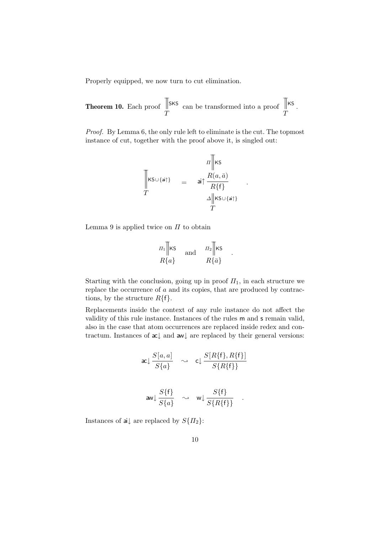Properly equipped, we now turn to cut elimination.

**Theorem 10.** Each proof 
$$
\|\mathbf{s}\|\mathbf{s}
$$
 can be transformed into a proof  $\|\mathbf{r}\|\mathbf{s}$ .

*Proof.* By Lemma 6, the only rule left to eliminate is the cut. The topmost instance of cut, together with the proof above it, is singled out:

$$
\begin{aligned}\n\begin{aligned}\n\overline{I} \parallel \text{KS} \\
\overline{I} \parallel \text{KS} \cup \{\text{ai}\} \\
\overline{I}\n\end{aligned} = \n\begin{aligned}\n\overline{I} \parallel \overline{I} \parallel \text{KS} \\
\overline{I} \parallel \text{KS} \cup \{\text{ai}\} \\
\overline{I}\n\end{aligned}
$$

.

Lemma 9 is applied twice on  $\Pi$  to obtain

$$
I_{1}\parallel
$$
ks and 
$$
I_{2}\parallel
$$
ks R{a} 
$$
R\overline{a}
$$

Starting with the conclusion, going up in proof  $\Pi_1$ , in each structure we replace the occurrence of  $a$  and its copies, that are produced by contractions, by the structure  $R{f}.$ 

Replacements inside the context of any rule instance do not affect the validity of this rule instance. Instances of the rules m and s remain valid, also in the case that atom occurrences are replaced inside redex and contractum. Instances of ac↓ and aw↓ are replaced by their general versions:

$$
\mathsf{ac}\downarrow \frac{S[a,a]}{S\{a\}} \quad \sim \quad \mathsf{c}\downarrow \frac{S[R\{\mathsf{f}\},R\{\mathsf{f}\}]}{S\{R\{\mathsf{f}\}\}}
$$

$$
\text{aw} \downarrow \frac{S\{\mathsf{f}\}}{S\{a\}} \quad \leadsto \quad \text{w} \downarrow \frac{S\{\mathsf{f}\}}{S\{R\{\mathsf{f}\}\}} \quad .
$$

Instances of ai↓ are replaced by  $S\{H_2\}$ :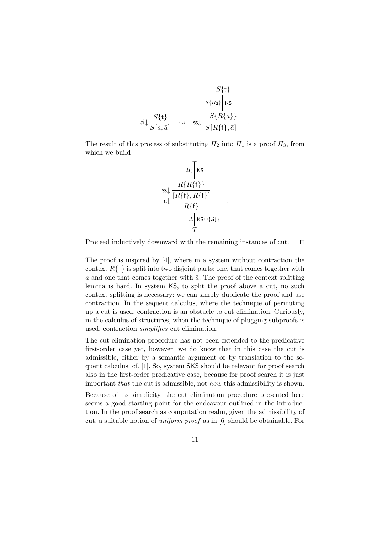$$
S\{\mathbf{t}\}
$$

$$
S\{\mathbf{t}\}
$$

$$
S\{I\mathbf{r}_2\}
$$

$$
\mathbf{a} \downarrow \frac{S\{\mathbf{t}\}}{S[a,\bar{a}]} \sim \mathbf{s} \downarrow \frac{S\{R\{\bar{a}\}\}}{S[R\{\mathbf{f}\},\bar{a}]}
$$

The result of this process of substituting  $\Pi_2$  into  $\Pi_1$  is a proof  $\Pi_3$ , from which we build

$$
I_{3} \parallel \kappa s
$$
\n
$$
\begin{array}{c}\nR\{R\{f\}\} \\
c \downarrow \frac{R\{R\{f\}, R\{f\}\}}{R\{f\}} \\
\vartriangle \parallel \kappa s \cup \{a \downarrow\} \\
T\n\end{array}
$$

Proceed inductively downward with the remaining instances of cut.  $\Box$ 

The proof is inspired by [4], where in a system without contraction the context  $R\{\}\$ is split into two disjoint parts: one, that comes together with a and one that comes together with  $\bar{a}$ . The proof of the context splitting lemma is hard. In system KS, to split the proof above a cut, no such context splitting is necessary: we can simply duplicate the proof and use contraction. In the sequent calculus, where the technique of permuting up a cut is used, contraction is an obstacle to cut elimination. Curiously, in the calculus of structures, when the technique of plugging subproofs is used, contraction *simplifies* cut elimination.

The cut elimination procedure has not been extended to the predicative first-order case yet, however, we do know that in this case the cut is admissible, either by a semantic argument or by translation to the sequent calculus, cf. [1]. So, system SKS should be relevant for proof search also in the first-order predicative case, because for proof search it is just important *that* the cut is admissible, not *how* this admissibility is shown.

Because of its simplicity, the cut elimination procedure presented here seems a good starting point for the endeavour outlined in the introduction. In the proof search as computation realm, given the admissibility of cut, a suitable notion of *uniform proof* as in [6] should be obtainable. For